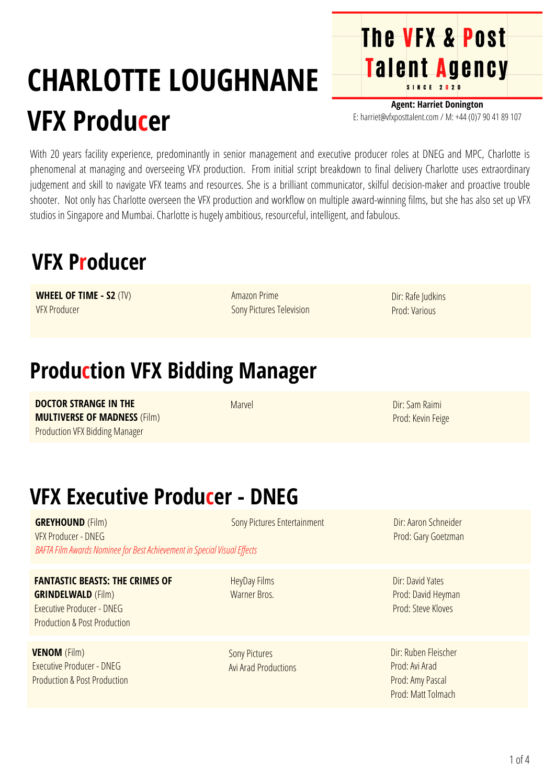# **CHARLOTTE LOUGHNANE VFX Producer**

**Agent: Harriet Donington** E: harriet@vfxposttalent.com / M:+44(0)7904189107

**The VFX & Post** 

Talent Agency

With 20 years facility experience, predominantly in senior management and executive producer roles at DNEG and MPC, Charlotte is phenomenal at managing and overseeing VFX production. From initial script breakdown to final delivery Charlotte uses extraordinary judgement and skill to navigate VFX teams and resources. She is a brilliant communicator, skilful decision-maker and proactive trouble shooter. Not only has Charlotte overseen the VFX production and workflow on multiple award-winning films, but she has also set up VFX studios in Singapore and Mumbai. Charlotte is hugely ambitious, resourceful, intelligent, and fabulous.

### **VFX Producer**

**WHEEL OF TIME - S2** (TV) VFX Producer

Amazon Prime Sony Pictures Television Dir: Rafe Judkins Prod: Various

## **Production VFX Bidding Manager**

**DOCTOR STRANGE IN THE MULTIVERSE OF MADNESS** (Film) Production VFX Bidding Manager

Marvel

Dir: Sam Raimi Prod: Kevin Feige

# **VFX Executive Producer - DNEG**

**GREYHOUND** (Film) VFX Producer - DNEG **BAFTA Film Awards Nominee for Best Achievement in Special Visual Effects** Sony Pictures Entertainment

### **FANTASTIC BEASTS: THE CRIMES OF**

**GRINDELWALD** (Film) Executive Producer - DNEG Production & Post Production

**VENOM** (Film) Executive Producer - DNEG Production & Post Production HeyDay Films Warner Bros.

Sony Pictures AviArad Productions Dir:Aaron Schneider Prod: Gary Goetzman

Dir: David Yates Prod: David Heyman Prod: Steve Kloves

Dir: Ruben Fleischer Prod:AviArad Prod:Amy Pascal Prod: Matt Tolmach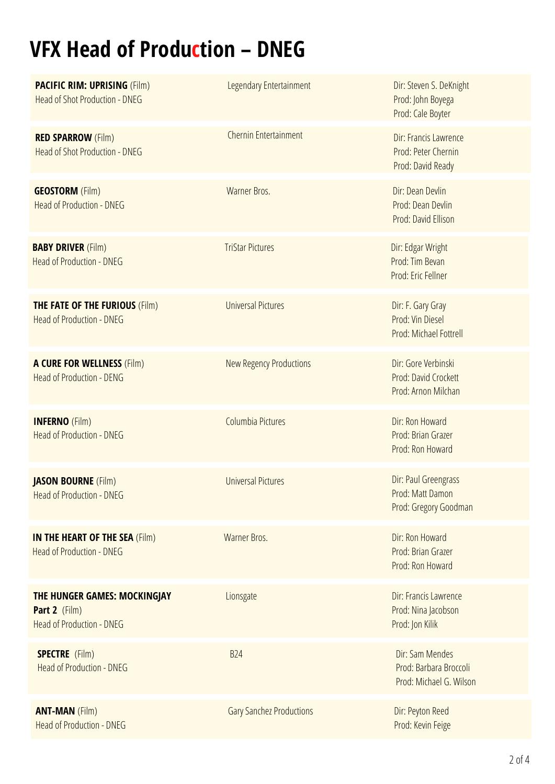# **VFX Head of Production – DNEG**

| <b>PACIFIC RIM: UPRISING (Film)</b><br>Head of Shot Production - DNEG             | Legendary Entertainment        | Dir: Steven S. DeKnight<br>Prod: John Boyega<br>Prod: Cale Boyter      |
|-----------------------------------------------------------------------------------|--------------------------------|------------------------------------------------------------------------|
| <b>RED SPARROW (Film)</b><br><b>Head of Shot Production - DNEG</b>                | <b>Chernin Entertainment</b>   | Dir: Francis Lawrence<br>Prod: Peter Chernin<br>Prod: David Ready      |
| <b>GEOSTORM</b> (Film)<br><b>Head of Production - DNEG</b>                        | Warner Bros.                   | Dir: Dean Devlin<br>Prod: Dean Devlin<br>Prod: David Ellison           |
| <b>BABY DRIVER (Film)</b><br><b>Head of Production - DNEG</b>                     | <b>TriStar Pictures</b>        | Dir: Edgar Wright<br>Prod: Tim Bevan<br>Prod: Eric Fellner             |
| <b>THE FATE OF THE FURIOUS (Film)</b><br><b>Head of Production - DNEG</b>         | <b>Universal Pictures</b>      | Dir: F. Gary Gray<br>Prod: Vin Diesel<br><b>Prod: Michael Fottrell</b> |
| <b>A CURE FOR WELLNESS (Film)</b><br><b>Head of Production - DENG</b>             | <b>New Regency Productions</b> | Dir: Gore Verbinski<br>Prod: David Crockett<br>Prod: Arnon Milchan     |
| <b>INFERNO</b> (Film)<br><b>Head of Production - DNEG</b>                         | Columbia Pictures              | Dir: Ron Howard<br>Prod: Brian Grazer                                  |
|                                                                                   |                                | Prod: Ron Howard                                                       |
| <b>JASON BOURNE</b> (Film)<br><b>Head of Production - DNEG</b>                    | <b>Universal Pictures</b>      | Dir: Paul Greengrass<br>Prod: Matt Damon<br>Prod: Gregory Goodman      |
| <b>IN THE HEART OF THE SEA (Film)</b><br><b>Head of Production - DNEG</b>         | Warner Bros.                   | Dir: Ron Howard<br>Prod: Brian Grazer<br>Prod: Ron Howard              |
| THE HUNGER GAMES: MOCKINGJAY<br>Part 2 (Film)<br><b>Head of Production - DNEG</b> | Lionsgate                      | Dir: Francis Lawrence<br>Prod: Nina Jacobson<br>Prod: Jon Kilik        |
| <b>SPECTRE</b> (Film)<br><b>Head of Production - DNEG</b>                         | <b>B24</b>                     | Dir: Sam Mendes<br>Prod: Barbara Broccoli<br>Prod: Michael G. Wilson   |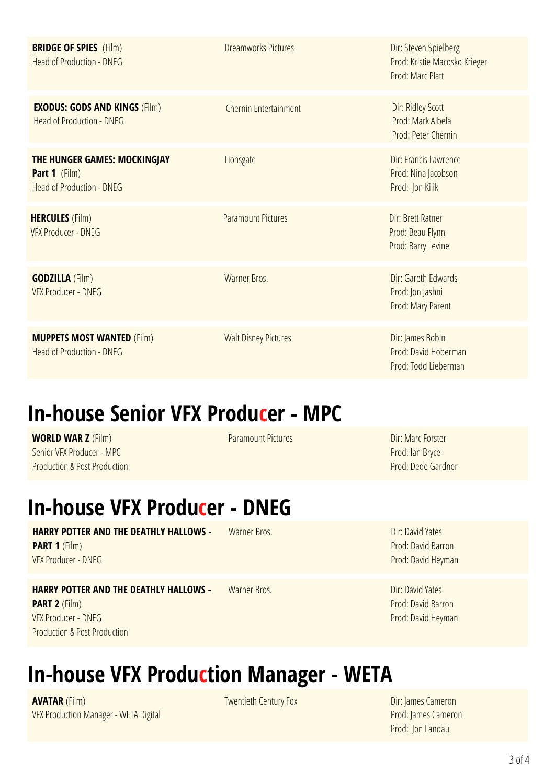| <b>BRIDGE OF SPIES</b> (Film)<br><b>Head of Production - DNEG</b>                 | <b>Dreamworks Pictures</b>  | Dir: Steven Spielberg<br>Prod: Kristie Macosko Krieger<br>Prod: Marc Platt |
|-----------------------------------------------------------------------------------|-----------------------------|----------------------------------------------------------------------------|
| <b>EXODUS: GODS AND KINGS (Film)</b><br><b>Head of Production - DNEG</b>          | Chernin Entertainment       | Dir: Ridley Scott<br>Prod: Mark Albela<br>Prod: Peter Chernin              |
| THE HUNGER GAMES: MOCKINGJAY<br>Part 1 (Film)<br><b>Head of Production - DNEG</b> | Lionsgate                   | Dir: Francis Lawrence<br>Prod: Nina Jacobson<br>Prod: Jon Kilik            |
| <b>HERCULES (Film)</b><br><b>VFX Producer - DNEG</b>                              | <b>Paramount Pictures</b>   | Dir: Brett Ratner<br>Prod: Beau Flynn<br>Prod: Barry Levine                |
| <b>GODZILLA</b> (Film)<br><b>VFX Producer - DNEG</b>                              | Warner Bros.                | Dir: Gareth Edwards<br>Prod: Jon Jashni<br>Prod: Mary Parent               |
| <b>MUPPETS MOST WANTED (Film)</b><br>Head of Production - DNEG                    | <b>Walt Disney Pictures</b> | Dir: James Bobin<br>Prod: David Hoberman<br>Prod: Todd Lieberman           |

### **In-house Senior VFX Producer - MPC**

**WORLD WAR Z** (Film) Senior VFX Producer - MPC Production & Post Production Paramount Pictures Dir: Marc Forster

Prod: Ian Bryce Prod: Dede Gardner

### **In-house VFX Producer - DNEG**

### **HARRY POTTER AND THE DEATHLY HALLOWS - PART 1** (Film) VFX Producer - DNEG

### **HARRY POTTER AND THE DEATHLY HALLOWS -**

**PART 2** (Film) VFX Producer - DNEG Production & Post Production

Warner Bros. New York 1980 States and Dir: David Yates Prod: David Barron Prod: David Heyman

Warner Bros. National Communication of the Dir: David Yates Prod: David Barron Prod: David Heyman

### **In-house VFX Production Manager - WETA**

**AVATAR** (Film) VFX Production Manager - WETA Digital

Twentieth Century Fox Dir: James Cameron Prod: James Cameron Prod: Jon Landau